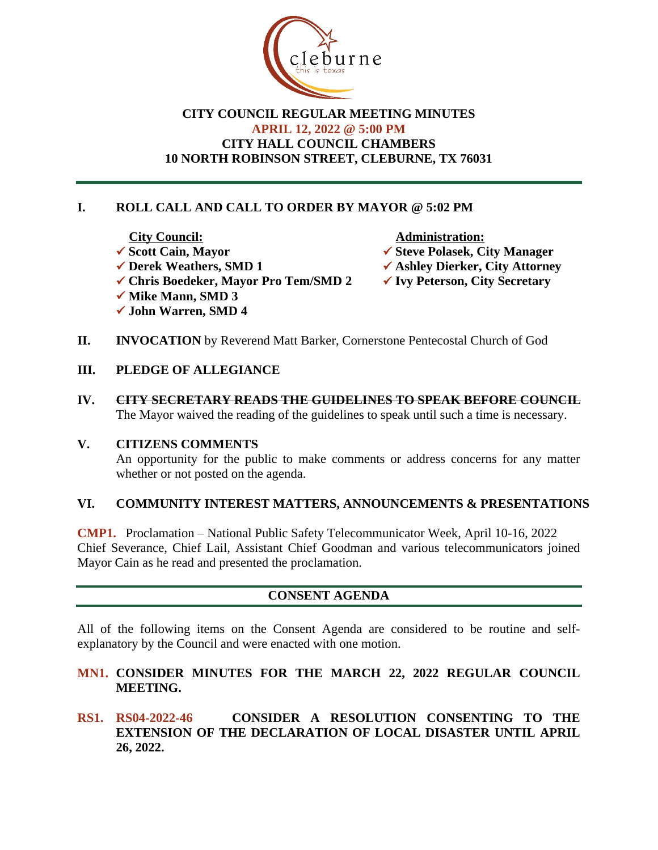

# **CITY COUNCIL REGULAR MEETING MINUTES APRIL 12, 2022 @ 5:00 PM CITY HALL COUNCIL CHAMBERS 10 NORTH ROBINSON STREET, CLEBURNE, TX 76031**

# **I. ROLL CALL AND CALL TO ORDER BY MAYOR @ 5:02 PM**

- *City Council:* Administration:
- <table>\n<tbody>\n<tr>\n<th>✓ Scott Cain, Mayor</th>\n<th>✓ Steve Polasek, City Manager</th>\n</tr>\n<tr>\n<th>✓ Derek Weathers, SMD 1</th>\n<th>✓ Ashlev Dierker, City Attorne</th>\n</tr>\n</tbody>\n</table>
	- **✓ Ashley Dierker, City Attorney**<br>✓ Ivy Peterson, City Secretary
	-
- **✓ Chris Boedeker, Mayor Pro Tem/SMD 2 √ Mike Mann, SMD 3**
- ü **John Warren, SMD 4**
- **II. INVOCATION** by Reverend Matt Barker, Cornerstone Pentecostal Church of God

## **III. PLEDGE OF ALLEGIANCE**

**IV. CITY SECRETARY READS THE GUIDELINES TO SPEAK BEFORE COUNCIL** The Mayor waived the reading of the guidelines to speak until such a time is necessary.

### **V. CITIZENS COMMENTS**

An opportunity for the public to make comments or address concerns for any matter whether or not posted on the agenda.

### **VI. COMMUNITY INTEREST MATTERS, ANNOUNCEMENTS & PRESENTATIONS**

**CMP1.** Proclamation – National Public Safety Telecommunicator Week, April 10-16, 2022 Chief Severance, Chief Lail, Assistant Chief Goodman and various telecommunicators joined Mayor Cain as he read and presented the proclamation.

# **CONSENT AGENDA**

All of the following items on the Consent Agenda are considered to be routine and selfexplanatory by the Council and were enacted with one motion.

# **MN1. CONSIDER MINUTES FOR THE MARCH 22, 2022 REGULAR COUNCIL MEETING.**

**RS1. RS04-2022-46 CONSIDER A RESOLUTION CONSENTING TO THE EXTENSION OF THE DECLARATION OF LOCAL DISASTER UNTIL APRIL 26, 2022.**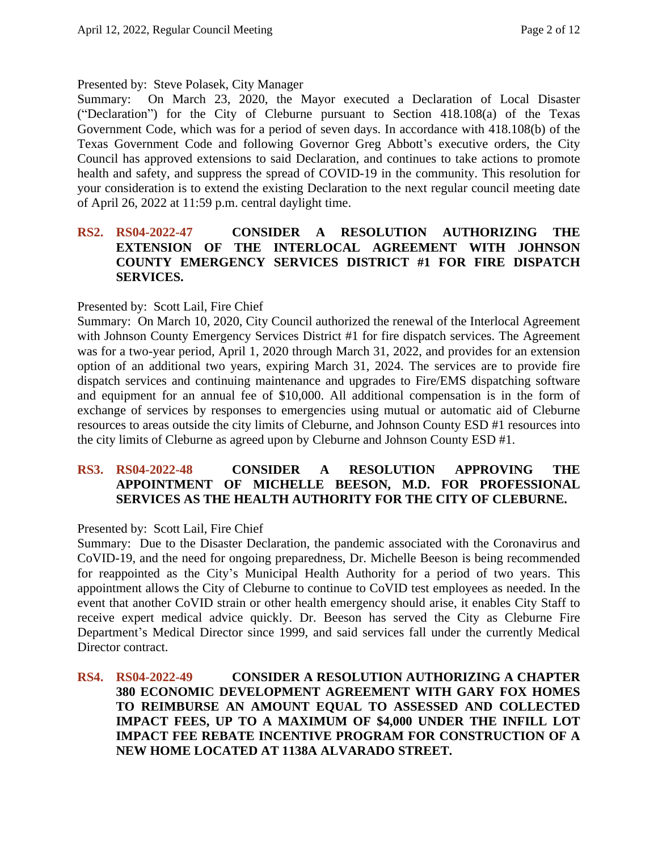Presented by: Steve Polasek, City Manager

Summary: On March 23, 2020, the Mayor executed a Declaration of Local Disaster ("Declaration") for the City of Cleburne pursuant to Section 418.108(a) of the Texas Government Code, which was for a period of seven days. In accordance with 418.108(b) of the Texas Government Code and following Governor Greg Abbott's executive orders, the City Council has approved extensions to said Declaration, and continues to take actions to promote health and safety, and suppress the spread of COVID-19 in the community. This resolution for your consideration is to extend the existing Declaration to the next regular council meeting date of April 26, 2022 at 11:59 p.m. central daylight time.

# **RS2. RS04-2022-47 CONSIDER A RESOLUTION AUTHORIZING THE EXTENSION OF THE INTERLOCAL AGREEMENT WITH JOHNSON COUNTY EMERGENCY SERVICES DISTRICT #1 FOR FIRE DISPATCH SERVICES.**

### Presented by: Scott Lail, Fire Chief

Summary: On March 10, 2020, City Council authorized the renewal of the Interlocal Agreement with Johnson County Emergency Services District #1 for fire dispatch services. The Agreement was for a two-year period, April 1, 2020 through March 31, 2022, and provides for an extension option of an additional two years, expiring March 31, 2024. The services are to provide fire dispatch services and continuing maintenance and upgrades to Fire/EMS dispatching software and equipment for an annual fee of \$10,000. All additional compensation is in the form of exchange of services by responses to emergencies using mutual or automatic aid of Cleburne resources to areas outside the city limits of Cleburne, and Johnson County ESD #1 resources into the city limits of Cleburne as agreed upon by Cleburne and Johnson County ESD #1.

### **RS3. RS04-2022-48 CONSIDER A RESOLUTION APPROVING THE APPOINTMENT OF MICHELLE BEESON, M.D. FOR PROFESSIONAL SERVICES AS THE HEALTH AUTHORITY FOR THE CITY OF CLEBURNE.**

### Presented by: Scott Lail, Fire Chief

Summary: Due to the Disaster Declaration, the pandemic associated with the Coronavirus and CoVID-19, and the need for ongoing preparedness, Dr. Michelle Beeson is being recommended for reappointed as the City's Municipal Health Authority for a period of two years. This appointment allows the City of Cleburne to continue to CoVID test employees as needed. In the event that another CoVID strain or other health emergency should arise, it enables City Staff to receive expert medical advice quickly. Dr. Beeson has served the City as Cleburne Fire Department's Medical Director since 1999, and said services fall under the currently Medical Director contract.

## **RS4. RS04-2022-49 CONSIDER A RESOLUTION AUTHORIZING A CHAPTER 380 ECONOMIC DEVELOPMENT AGREEMENT WITH GARY FOX HOMES TO REIMBURSE AN AMOUNT EQUAL TO ASSESSED AND COLLECTED IMPACT FEES, UP TO A MAXIMUM OF \$4,000 UNDER THE INFILL LOT IMPACT FEE REBATE INCENTIVE PROGRAM FOR CONSTRUCTION OF A NEW HOME LOCATED AT 1138A ALVARADO STREET.**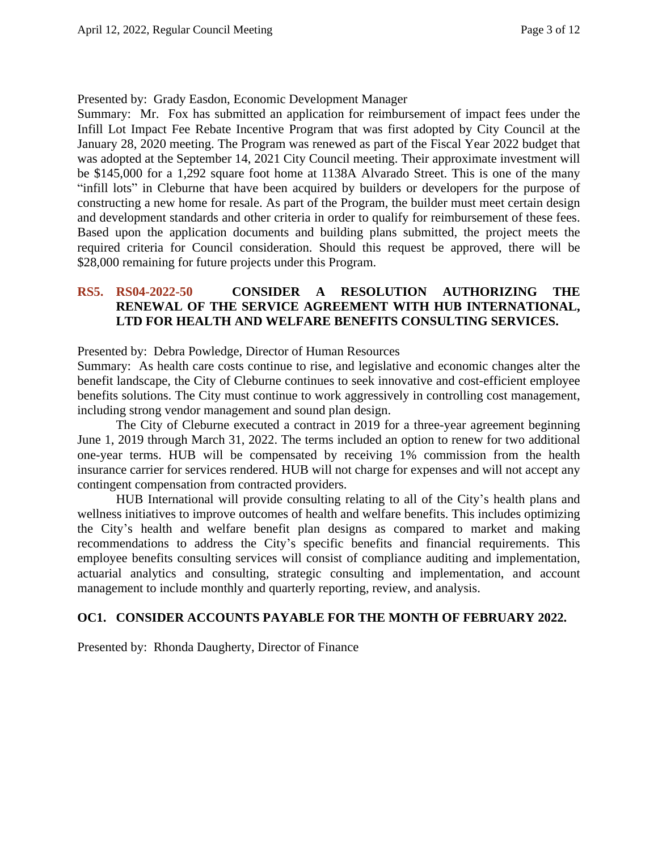## Presented by: Grady Easdon, Economic Development Manager

Summary: Mr. Fox has submitted an application for reimbursement of impact fees under the Infill Lot Impact Fee Rebate Incentive Program that was first adopted by City Council at the January 28, 2020 meeting. The Program was renewed as part of the Fiscal Year 2022 budget that was adopted at the September 14, 2021 City Council meeting. Their approximate investment will be \$145,000 for a 1,292 square foot home at 1138A Alvarado Street. This is one of the many "infill lots" in Cleburne that have been acquired by builders or developers for the purpose of constructing a new home for resale. As part of the Program, the builder must meet certain design and development standards and other criteria in order to qualify for reimbursement of these fees. Based upon the application documents and building plans submitted, the project meets the required criteria for Council consideration. Should this request be approved, there will be \$28,000 remaining for future projects under this Program.

## **RS5. RS04-2022-50 CONSIDER A RESOLUTION AUTHORIZING THE RENEWAL OF THE SERVICE AGREEMENT WITH HUB INTERNATIONAL, LTD FOR HEALTH AND WELFARE BENEFITS CONSULTING SERVICES.**

Presented by: Debra Powledge, Director of Human Resources

Summary: As health care costs continue to rise, and legislative and economic changes alter the benefit landscape, the City of Cleburne continues to seek innovative and cost-efficient employee benefits solutions. The City must continue to work aggressively in controlling cost management, including strong vendor management and sound plan design.

The City of Cleburne executed a contract in 2019 for a three-year agreement beginning June 1, 2019 through March 31, 2022. The terms included an option to renew for two additional one-year terms. HUB will be compensated by receiving 1% commission from the health insurance carrier for services rendered. HUB will not charge for expenses and will not accept any contingent compensation from contracted providers.

HUB International will provide consulting relating to all of the City's health plans and wellness initiatives to improve outcomes of health and welfare benefits. This includes optimizing the City's health and welfare benefit plan designs as compared to market and making recommendations to address the City's specific benefits and financial requirements. This employee benefits consulting services will consist of compliance auditing and implementation, actuarial analytics and consulting, strategic consulting and implementation, and account management to include monthly and quarterly reporting, review, and analysis.

# **OC1. CONSIDER ACCOUNTS PAYABLE FOR THE MONTH OF FEBRUARY 2022.**

Presented by: Rhonda Daugherty, Director of Finance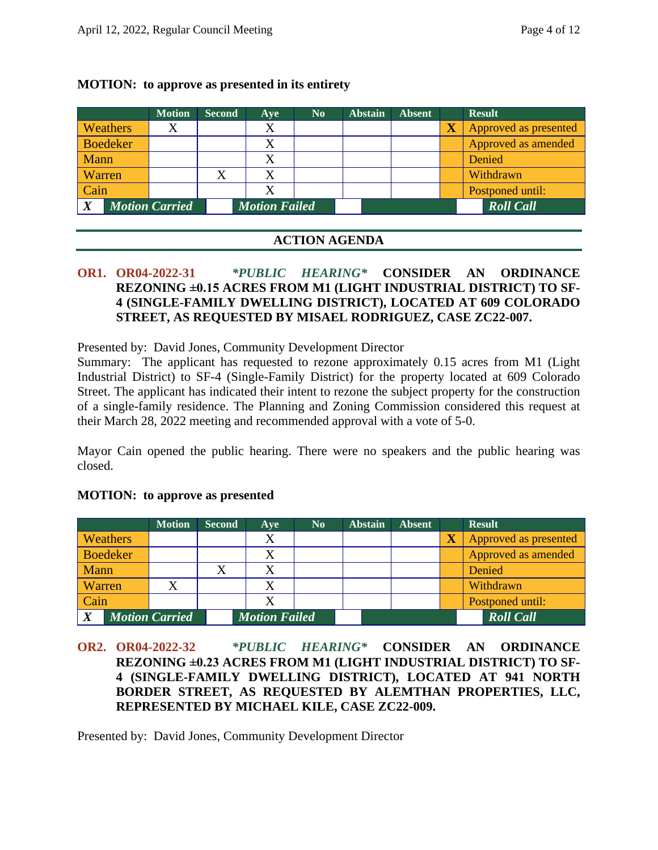## **MOTION: to approve as presented in its entirety**

|                 | <b>Motion</b>         | <b>Second</b> | Ave                  | $\mathbf{N}\mathbf{0}$ | <b>Abstain</b> | <b>Absent</b> |   | <b>Result</b>         |
|-----------------|-----------------------|---------------|----------------------|------------------------|----------------|---------------|---|-----------------------|
| <b>Weathers</b> | X                     |               | X                    |                        |                |               | X | Approved as presented |
| <b>Boedeker</b> |                       |               | X                    |                        |                |               |   | Approved as amended   |
| Mann            |                       |               | X                    |                        |                |               |   | Denied                |
| Warren          |                       |               | Χ                    |                        |                |               |   | Withdrawn             |
| Cain            |                       |               | Х                    |                        |                |               |   | Postponed until:      |
| $\mathbf v$     | <b>Motion Carried</b> |               | <b>Motion Failed</b> |                        |                |               |   | <b>Roll Call</b>      |

# **ACTION AGENDA**

# **OR1. OR04-2022-31** *\*PUBLIC HEARING\** **CONSIDER AN ORDINANCE REZONING ±0.15 ACRES FROM M1 (LIGHT INDUSTRIAL DISTRICT) TO SF-4 (SINGLE-FAMILY DWELLING DISTRICT), LOCATED AT 609 COLORADO STREET, AS REQUESTED BY MISAEL RODRIGUEZ, CASE ZC22-007.**

Presented by: David Jones, Community Development Director

Summary: The applicant has requested to rezone approximately 0.15 acres from M1 (Light Industrial District) to SF-4 (Single-Family District) for the property located at 609 Colorado Street. The applicant has indicated their intent to rezone the subject property for the construction of a single-family residence. The Planning and Zoning Commission considered this request at their March 28, 2022 meeting and recommended approval with a vote of 5-0.

Mayor Cain opened the public hearing. There were no speakers and the public hearing was closed.

|                  |                       | <b>Motion</b> | <b>Second</b> | <b>Ave</b>           | $\bf No$ | <b>Abstain</b> | <b>Absent</b> |                         | <b>Result</b>         |
|------------------|-----------------------|---------------|---------------|----------------------|----------|----------------|---------------|-------------------------|-----------------------|
|                  | <b>Weathers</b>       |               |               | X                    |          |                |               | $\overline{\textbf{X}}$ | Approved as presented |
|                  | <b>Boedeker</b>       |               |               | X                    |          |                |               |                         | Approved as amended   |
| Mann             |                       |               |               | X                    |          |                |               |                         | Denied                |
| Warren           |                       |               |               | Χ                    |          |                |               |                         | Withdrawn             |
| Cain             |                       |               |               | X                    |          |                |               |                         | Postponed until:      |
| $\boldsymbol{X}$ | <b>Motion Carried</b> |               |               | <b>Motion Failed</b> |          |                |               |                         | <b>Roll Call</b>      |

# **MOTION: to approve as presented**

**OR2. OR04-2022-32** *\*PUBLIC HEARING\** **CONSIDER AN ORDINANCE REZONING ±0.23 ACRES FROM M1 (LIGHT INDUSTRIAL DISTRICT) TO SF-4 (SINGLE-FAMILY DWELLING DISTRICT), LOCATED AT 941 NORTH BORDER STREET, AS REQUESTED BY ALEMTHAN PROPERTIES, LLC, REPRESENTED BY MICHAEL KILE, CASE ZC22-009.**

Presented by: David Jones, Community Development Director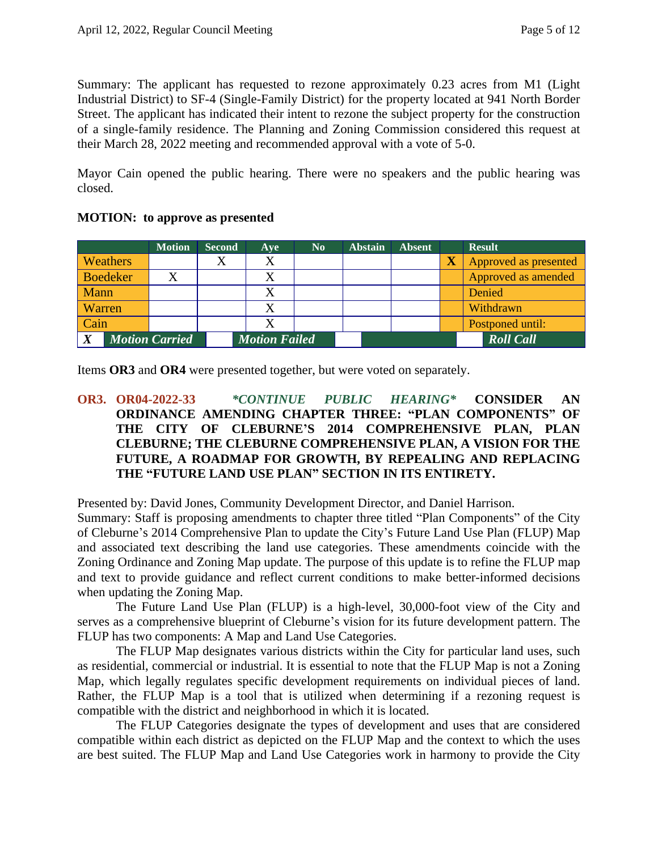Summary: The applicant has requested to rezone approximately 0.23 acres from M1 (Light Industrial District) to SF-4 (Single-Family District) for the property located at 941 North Border Street. The applicant has indicated their intent to rezone the subject property for the construction of a single-family residence. The Planning and Zoning Commission considered this request at their March 28, 2022 meeting and recommended approval with a vote of 5-0.

Mayor Cain opened the public hearing. There were no speakers and the public hearing was closed.

|                  |                 | <b>Motion</b>         | <b>Second</b> | Aye                  | N <sub>0</sub> | <b>Abstain</b> | <b>Absent</b> |                         | <b>Result</b>         |
|------------------|-----------------|-----------------------|---------------|----------------------|----------------|----------------|---------------|-------------------------|-----------------------|
|                  | <b>Weathers</b> |                       |               |                      |                |                |               | $\overline{\textbf{X}}$ | Approved as presented |
|                  | Boedeker        |                       |               |                      |                |                |               |                         | Approved as amended   |
| <b>Mann</b>      |                 |                       |               |                      |                |                |               |                         | Denied                |
| Warren           |                 |                       |               |                      |                |                |               |                         | Withdrawn             |
| Cain             |                 |                       |               |                      |                |                |               |                         | Postponed until:      |
| $\boldsymbol{X}$ |                 | <b>Motion Carried</b> |               | <b>Motion Failed</b> |                |                |               |                         | <b>Roll Call</b>      |

#### **MOTION: to approve as presented**

Items **OR3** and **OR4** were presented together, but were voted on separately.

## **OR3. OR04-2022-33** *\*CONTINUE PUBLIC HEARING\** **CONSIDER AN ORDINANCE AMENDING CHAPTER THREE: "PLAN COMPONENTS" OF THE CITY OF CLEBURNE'S 2014 COMPREHENSIVE PLAN, PLAN CLEBURNE; THE CLEBURNE COMPREHENSIVE PLAN, A VISION FOR THE FUTURE, A ROADMAP FOR GROWTH, BY REPEALING AND REPLACING THE "FUTURE LAND USE PLAN" SECTION IN ITS ENTIRETY.**

Presented by: David Jones, Community Development Director, and Daniel Harrison.

Summary: Staff is proposing amendments to chapter three titled "Plan Components" of the City of Cleburne's 2014 Comprehensive Plan to update the City's Future Land Use Plan (FLUP) Map and associated text describing the land use categories. These amendments coincide with the Zoning Ordinance and Zoning Map update. The purpose of this update is to refine the FLUP map and text to provide guidance and reflect current conditions to make better-informed decisions when updating the Zoning Map.

The Future Land Use Plan (FLUP) is a high-level, 30,000-foot view of the City and serves as a comprehensive blueprint of Cleburne's vision for its future development pattern. The FLUP has two components: A Map and Land Use Categories.

The FLUP Map designates various districts within the City for particular land uses, such as residential, commercial or industrial. It is essential to note that the FLUP Map is not a Zoning Map, which legally regulates specific development requirements on individual pieces of land. Rather, the FLUP Map is a tool that is utilized when determining if a rezoning request is compatible with the district and neighborhood in which it is located.

The FLUP Categories designate the types of development and uses that are considered compatible within each district as depicted on the FLUP Map and the context to which the uses are best suited. The FLUP Map and Land Use Categories work in harmony to provide the City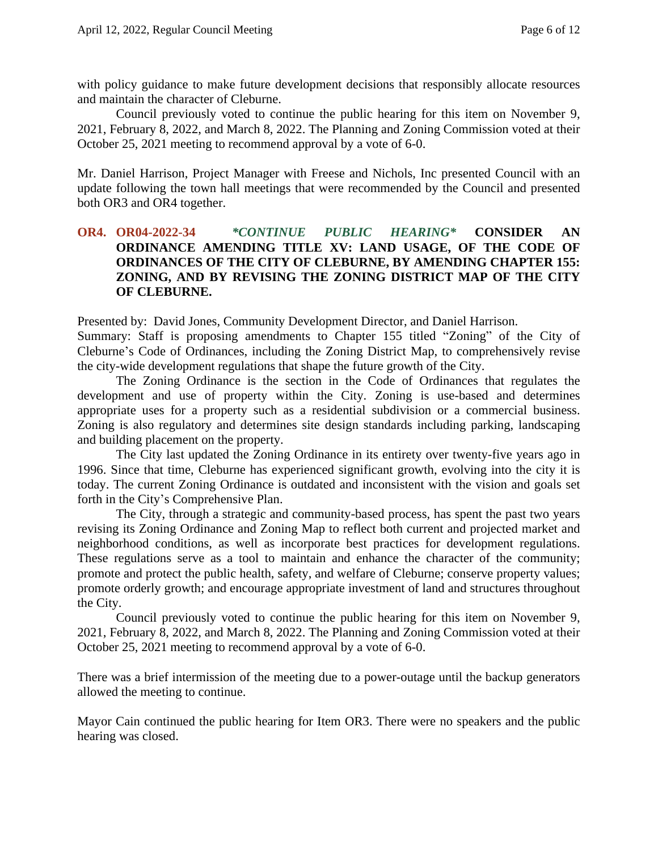with policy guidance to make future development decisions that responsibly allocate resources and maintain the character of Cleburne.

Council previously voted to continue the public hearing for this item on November 9, 2021, February 8, 2022, and March 8, 2022. The Planning and Zoning Commission voted at their October 25, 2021 meeting to recommend approval by a vote of 6-0.

Mr. Daniel Harrison, Project Manager with Freese and Nichols, Inc presented Council with an update following the town hall meetings that were recommended by the Council and presented both OR3 and OR4 together.

# **OR4. OR04-2022-34** *\*CONTINUE PUBLIC HEARING\** **CONSIDER AN ORDINANCE AMENDING TITLE XV: LAND USAGE, OF THE CODE OF ORDINANCES OF THE CITY OF CLEBURNE, BY AMENDING CHAPTER 155: ZONING, AND BY REVISING THE ZONING DISTRICT MAP OF THE CITY OF CLEBURNE.**

Presented by: David Jones, Community Development Director, and Daniel Harrison.

Summary: Staff is proposing amendments to Chapter 155 titled "Zoning" of the City of Cleburne's Code of Ordinances, including the Zoning District Map, to comprehensively revise the city-wide development regulations that shape the future growth of the City.

The Zoning Ordinance is the section in the Code of Ordinances that regulates the development and use of property within the City. Zoning is use-based and determines appropriate uses for a property such as a residential subdivision or a commercial business. Zoning is also regulatory and determines site design standards including parking, landscaping and building placement on the property.

The City last updated the Zoning Ordinance in its entirety over twenty-five years ago in 1996. Since that time, Cleburne has experienced significant growth, evolving into the city it is today. The current Zoning Ordinance is outdated and inconsistent with the vision and goals set forth in the City's Comprehensive Plan.

The City, through a strategic and community-based process, has spent the past two years revising its Zoning Ordinance and Zoning Map to reflect both current and projected market and neighborhood conditions, as well as incorporate best practices for development regulations. These regulations serve as a tool to maintain and enhance the character of the community; promote and protect the public health, safety, and welfare of Cleburne; conserve property values; promote orderly growth; and encourage appropriate investment of land and structures throughout the City.

Council previously voted to continue the public hearing for this item on November 9, 2021, February 8, 2022, and March 8, 2022. The Planning and Zoning Commission voted at their October 25, 2021 meeting to recommend approval by a vote of 6-0.

There was a brief intermission of the meeting due to a power-outage until the backup generators allowed the meeting to continue.

Mayor Cain continued the public hearing for Item OR3. There were no speakers and the public hearing was closed.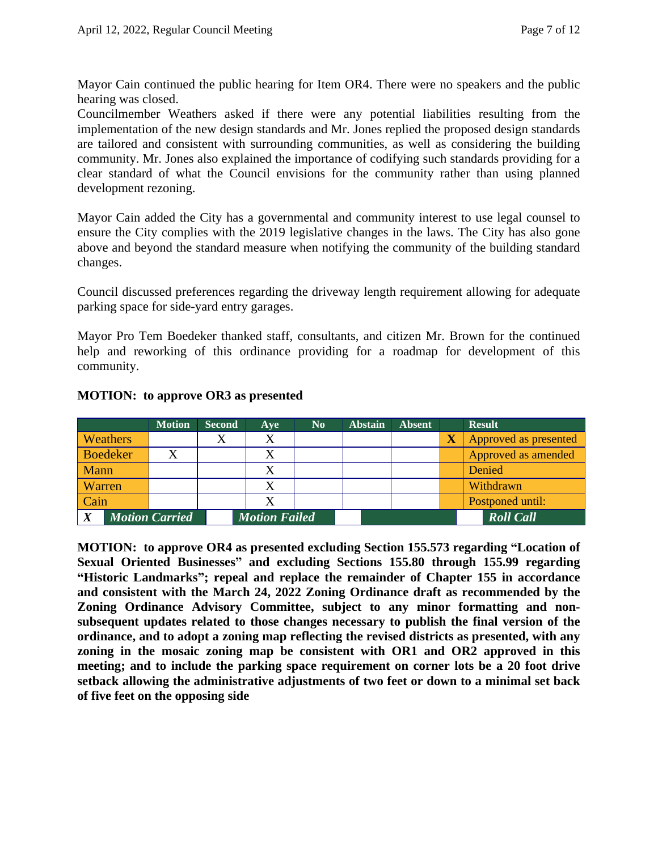Mayor Cain continued the public hearing for Item OR4. There were no speakers and the public hearing was closed.

Councilmember Weathers asked if there were any potential liabilities resulting from the implementation of the new design standards and Mr. Jones replied the proposed design standards are tailored and consistent with surrounding communities, as well as considering the building community. Mr. Jones also explained the importance of codifying such standards providing for a clear standard of what the Council envisions for the community rather than using planned development rezoning.

Mayor Cain added the City has a governmental and community interest to use legal counsel to ensure the City complies with the 2019 legislative changes in the laws. The City has also gone above and beyond the standard measure when notifying the community of the building standard changes.

Council discussed preferences regarding the driveway length requirement allowing for adequate parking space for side-yard entry garages.

Mayor Pro Tem Boedeker thanked staff, consultants, and citizen Mr. Brown for the continued help and reworking of this ordinance providing for a roadmap for development of this community.

|        |                 | <b>Motion</b>         | <b>Second</b> | Ave                  | No | <b>Abstain</b> | <b>Absent</b> |                         | <b>Result</b>         |
|--------|-----------------|-----------------------|---------------|----------------------|----|----------------|---------------|-------------------------|-----------------------|
|        | Weathers        |                       |               |                      |    |                |               | $\overline{\textbf{X}}$ | Approved as presented |
|        | <b>Boedeker</b> |                       |               |                      |    |                |               |                         | Approved as amended   |
| Mann   |                 |                       |               |                      |    |                |               |                         | Denied                |
| Warren |                 |                       |               |                      |    |                |               |                         | Withdrawn             |
| Cain   |                 |                       |               |                      |    |                |               |                         | Postponed until:      |
| X      |                 | <b>Motion Carried</b> |               | <b>Motion Failed</b> |    |                |               |                         | <b>Roll Call</b>      |

# **MOTION: to approve OR3 as presented**

**MOTION: to approve OR4 as presented excluding Section 155.573 regarding "Location of Sexual Oriented Businesses" and excluding Sections 155.80 through 155.99 regarding "Historic Landmarks"; repeal and replace the remainder of Chapter 155 in accordance and consistent with the March 24, 2022 Zoning Ordinance draft as recommended by the Zoning Ordinance Advisory Committee, subject to any minor formatting and nonsubsequent updates related to those changes necessary to publish the final version of the ordinance, and to adopt a zoning map reflecting the revised districts as presented, with any zoning in the mosaic zoning map be consistent with OR1 and OR2 approved in this meeting; and to include the parking space requirement on corner lots be a 20 foot drive setback allowing the administrative adjustments of two feet or down to a minimal set back of five feet on the opposing side**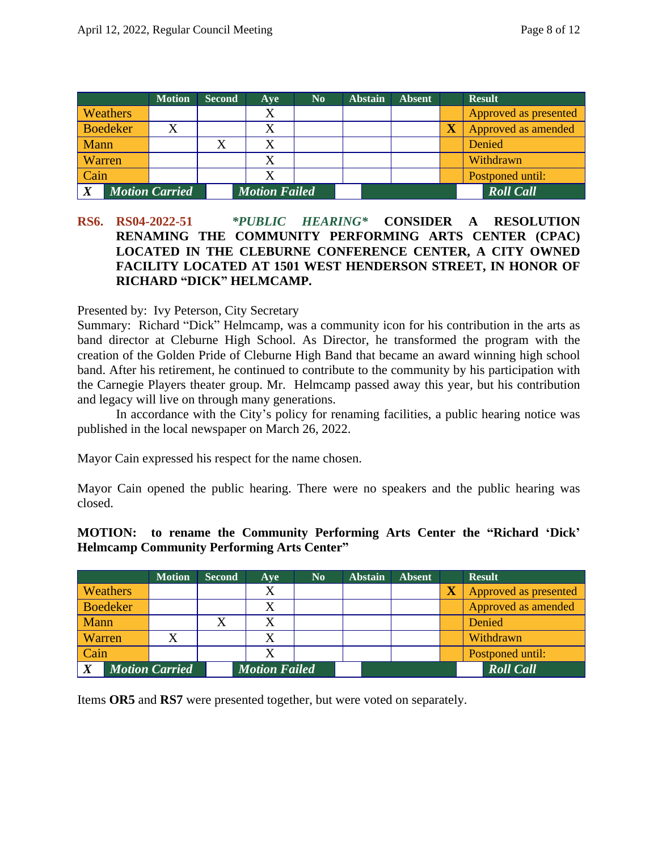|                  |                 | <b>Motion</b>         | <b>Second</b> | Ave                  | No | Abstain | <b>Absent</b> |                         | <b>Result</b>         |
|------------------|-----------------|-----------------------|---------------|----------------------|----|---------|---------------|-------------------------|-----------------------|
|                  | <b>Weathers</b> |                       |               | X                    |    |         |               |                         | Approved as presented |
|                  | <b>Boedeker</b> |                       |               | X                    |    |         |               | $\overline{\textbf{X}}$ | Approved as amended   |
| Mann             |                 |                       |               |                      |    |         |               |                         | Denied                |
| Warren           |                 |                       |               | X                    |    |         |               |                         | Withdrawn             |
| Cain             |                 |                       |               | X                    |    |         |               |                         | Postponed until:      |
| $\boldsymbol{X}$ |                 | <b>Motion Carried</b> |               | <b>Motion Failed</b> |    |         |               |                         | <b>Roll Call</b>      |

# **RS6. RS04-2022-51** *\*PUBLIC HEARING\** **CONSIDER A RESOLUTION RENAMING THE COMMUNITY PERFORMING ARTS CENTER (CPAC) LOCATED IN THE CLEBURNE CONFERENCE CENTER, A CITY OWNED FACILITY LOCATED AT 1501 WEST HENDERSON STREET, IN HONOR OF RICHARD "DICK" HELMCAMP.**

Presented by: Ivy Peterson, City Secretary

Summary: Richard "Dick" Helmcamp, was a community icon for his contribution in the arts as band director at Cleburne High School. As Director, he transformed the program with the creation of the Golden Pride of Cleburne High Band that became an award winning high school band. After his retirement, he continued to contribute to the community by his participation with the Carnegie Players theater group. Mr. Helmcamp passed away this year, but his contribution and legacy will live on through many generations.

In accordance with the City's policy for renaming facilities, a public hearing notice was published in the local newspaper on March 26, 2022.

Mayor Cain expressed his respect for the name chosen.

Mayor Cain opened the public hearing. There were no speakers and the public hearing was closed.

## **MOTION: to rename the Community Performing Arts Center the "Richard 'Dick' Helmcamp Community Performing Arts Center"**

|                  | <b>Motion</b>         | <b>Second</b> | <b>Ave</b>           | $\mathbf{N}\mathbf{0}$ | <b>Abstain</b> | <b>Absent</b> |                         | <b>Result</b>         |
|------------------|-----------------------|---------------|----------------------|------------------------|----------------|---------------|-------------------------|-----------------------|
| Weathers         |                       |               | X                    |                        |                |               | $\overline{\textbf{X}}$ | Approved as presented |
| <b>Boedeker</b>  |                       |               | X                    |                        |                |               |                         | Approved as amended   |
| Mann             |                       |               | X                    |                        |                |               |                         | Denied                |
| Warren           |                       |               | X                    |                        |                |               |                         | Withdrawn             |
| Cain             |                       |               | X                    |                        |                |               |                         | Postponed until:      |
| $\boldsymbol{X}$ | <b>Motion Carried</b> |               | <b>Motion Failed</b> |                        |                |               |                         | <b>Roll Call</b>      |

Items **OR5** and **RS7** were presented together, but were voted on separately.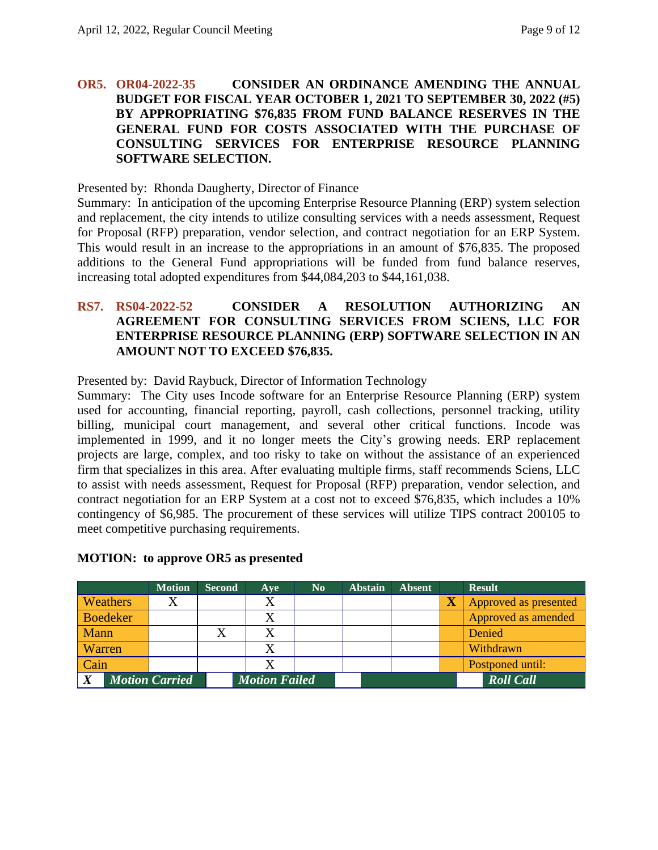## **OR5. OR04-2022-35 CONSIDER AN ORDINANCE AMENDING THE ANNUAL BUDGET FOR FISCAL YEAR OCTOBER 1, 2021 TO SEPTEMBER 30, 2022 (#5) BY APPROPRIATING \$76,835 FROM FUND BALANCE RESERVES IN THE GENERAL FUND FOR COSTS ASSOCIATED WITH THE PURCHASE OF CONSULTING SERVICES FOR ENTERPRISE RESOURCE PLANNING SOFTWARE SELECTION.**

Presented by: Rhonda Daugherty, Director of Finance

Summary: In anticipation of the upcoming Enterprise Resource Planning (ERP) system selection and replacement, the city intends to utilize consulting services with a needs assessment, Request for Proposal (RFP) preparation, vendor selection, and contract negotiation for an ERP System. This would result in an increase to the appropriations in an amount of \$76,835. The proposed additions to the General Fund appropriations will be funded from fund balance reserves, increasing total adopted expenditures from \$44,084,203 to \$44,161,038.

## **RS7. RS04-2022-52 CONSIDER A RESOLUTION AUTHORIZING AN AGREEMENT FOR CONSULTING SERVICES FROM SCIENS, LLC FOR ENTERPRISE RESOURCE PLANNING (ERP) SOFTWARE SELECTION IN AN AMOUNT NOT TO EXCEED \$76,835.**

Presented by: David Raybuck, Director of Information Technology

Summary: The City uses Incode software for an Enterprise Resource Planning (ERP) system used for accounting, financial reporting, payroll, cash collections, personnel tracking, utility billing, municipal court management, and several other critical functions. Incode was implemented in 1999, and it no longer meets the City's growing needs. ERP replacement projects are large, complex, and too risky to take on without the assistance of an experienced firm that specializes in this area. After evaluating multiple firms, staff recommends Sciens, LLC to assist with needs assessment, Request for Proposal (RFP) preparation, vendor selection, and contract negotiation for an ERP System at a cost not to exceed \$76,835, which includes a 10% contingency of \$6,985. The procurement of these services will utilize TIPS contract 200105 to meet competitive purchasing requirements.

|                  |                 | <b>Motion</b>         | <b>Second</b> | Ave                  | N <sub>0</sub> | <b>Abstain</b> | <b>Absent</b> |                         | <b>Result</b>         |
|------------------|-----------------|-----------------------|---------------|----------------------|----------------|----------------|---------------|-------------------------|-----------------------|
|                  | <b>Weathers</b> | Х                     |               | Х                    |                |                |               | $\overline{\textbf{X}}$ | Approved as presented |
|                  | <b>Boedeker</b> |                       |               |                      |                |                |               |                         | Approved as amended   |
| Mann             |                 |                       |               | X                    |                |                |               |                         | Denied                |
| Warren           |                 |                       |               |                      |                |                |               |                         | Withdrawn             |
| Cain             |                 |                       |               | Х                    |                |                |               |                         | Postponed until:      |
| $\boldsymbol{X}$ |                 | <b>Motion Carried</b> |               | <b>Motion Failed</b> |                |                |               |                         | <b>Roll Call</b>      |

### **MOTION: to approve OR5 as presented**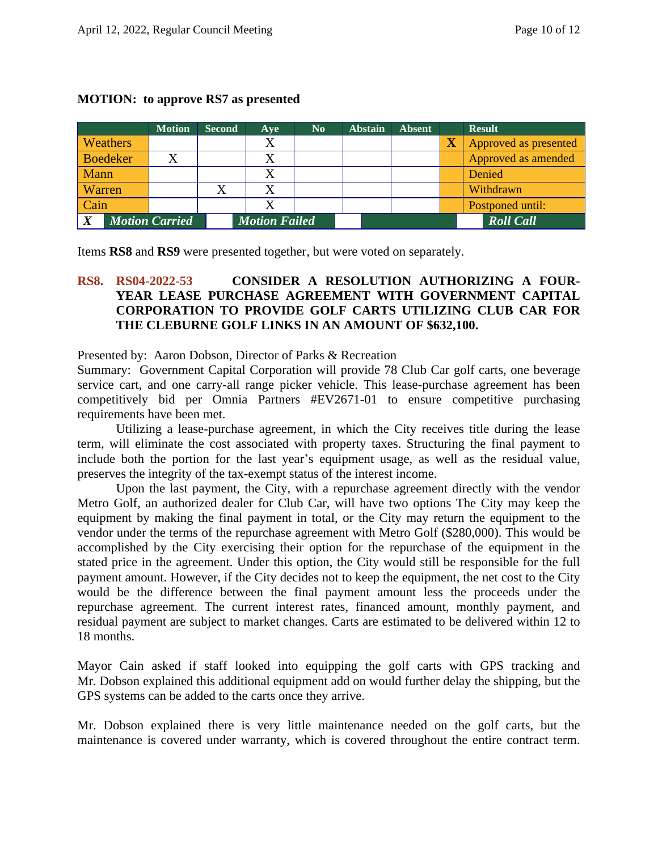|  | <b>MOTION: to approve RS7 as presented</b> |  |
|--|--------------------------------------------|--|
|--|--------------------------------------------|--|

|                            |                 | <b>Motion</b> | <b>Second</b>        | Ave | N <sub>0</sub> | <b>Abstain</b> | <b>Absent</b> |                         | <b>Result</b>         |
|----------------------------|-----------------|---------------|----------------------|-----|----------------|----------------|---------------|-------------------------|-----------------------|
|                            | <b>Weathers</b> |               |                      | X   |                |                |               | $\overline{\textbf{X}}$ | Approved as presented |
|                            | <b>Boedeker</b> |               |                      |     |                |                |               |                         | Approved as amended   |
| Mann                       |                 |               |                      |     |                |                |               |                         | Denied                |
| Warren                     |                 |               |                      | X   |                |                |               |                         | Withdrawn             |
| Cain                       |                 |               |                      |     |                |                |               |                         | Postponed until:      |
| V<br><b>Motion Carried</b> |                 |               | <b>Motion Failed</b> |     |                |                |               | <b>Roll Call</b>        |                       |

Items **RS8** and **RS9** were presented together, but were voted on separately.

# **RS8. RS04-2022-53 CONSIDER A RESOLUTION AUTHORIZING A FOUR-YEAR LEASE PURCHASE AGREEMENT WITH GOVERNMENT CAPITAL CORPORATION TO PROVIDE GOLF CARTS UTILIZING CLUB CAR FOR THE CLEBURNE GOLF LINKS IN AN AMOUNT OF \$632,100.**

Presented by: Aaron Dobson, Director of Parks & Recreation

Summary: Government Capital Corporation will provide 78 Club Car golf carts, one beverage service cart, and one carry-all range picker vehicle. This lease-purchase agreement has been competitively bid per Omnia Partners #EV2671-01 to ensure competitive purchasing requirements have been met.

Utilizing a lease-purchase agreement, in which the City receives title during the lease term, will eliminate the cost associated with property taxes. Structuring the final payment to include both the portion for the last year's equipment usage, as well as the residual value, preserves the integrity of the tax-exempt status of the interest income.

Upon the last payment, the City, with a repurchase agreement directly with the vendor Metro Golf, an authorized dealer for Club Car, will have two options The City may keep the equipment by making the final payment in total, or the City may return the equipment to the vendor under the terms of the repurchase agreement with Metro Golf (\$280,000). This would be accomplished by the City exercising their option for the repurchase of the equipment in the stated price in the agreement. Under this option, the City would still be responsible for the full payment amount. However, if the City decides not to keep the equipment, the net cost to the City would be the difference between the final payment amount less the proceeds under the repurchase agreement. The current interest rates, financed amount, monthly payment, and residual payment are subject to market changes. Carts are estimated to be delivered within 12 to 18 months.

Mayor Cain asked if staff looked into equipping the golf carts with GPS tracking and Mr. Dobson explained this additional equipment add on would further delay the shipping, but the GPS systems can be added to the carts once they arrive.

Mr. Dobson explained there is very little maintenance needed on the golf carts, but the maintenance is covered under warranty, which is covered throughout the entire contract term.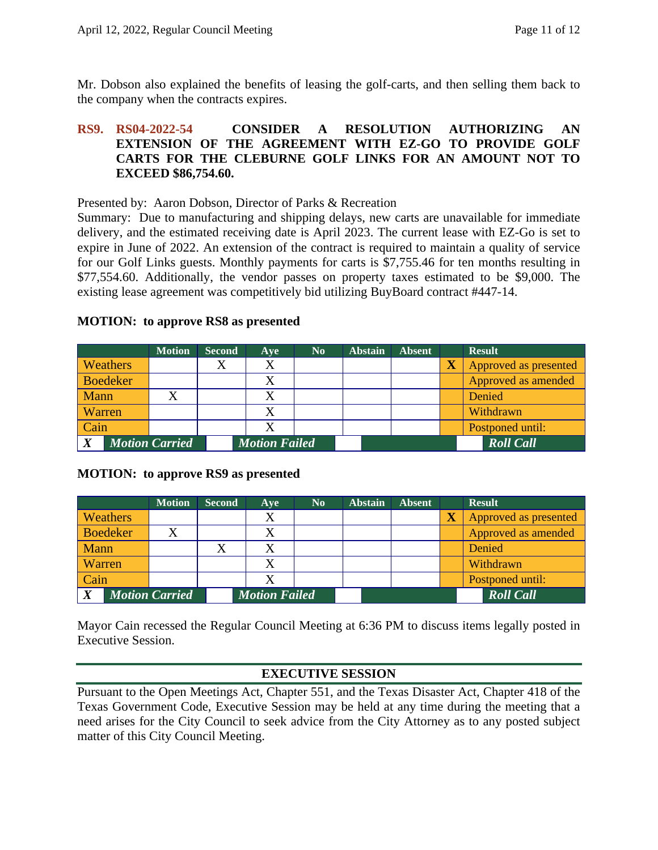Mr. Dobson also explained the benefits of leasing the golf-carts, and then selling them back to the company when the contracts expires.

# **RS9. RS04-2022-54 CONSIDER A RESOLUTION AUTHORIZING AN EXTENSION OF THE AGREEMENT WITH EZ-GO TO PROVIDE GOLF CARTS FOR THE CLEBURNE GOLF LINKS FOR AN AMOUNT NOT TO EXCEED \$86,754.60.**

Presented by: Aaron Dobson, Director of Parks & Recreation

Summary: Due to manufacturing and shipping delays, new carts are unavailable for immediate delivery, and the estimated receiving date is April 2023. The current lease with EZ-Go is set to expire in June of 2022. An extension of the contract is required to maintain a quality of service for our Golf Links guests. Monthly payments for carts is \$7,755.46 for ten months resulting in \$77,554.60. Additionally, the vendor passes on property taxes estimated to be \$9,000. The existing lease agreement was competitively bid utilizing BuyBoard contract #447-14.

|        |                       | <b>Motion</b> | <b>Second</b> | Ave                  | N <sub>0</sub> | <b>Abstain</b> | <b>Absent</b> | <b>Result</b>         |
|--------|-----------------------|---------------|---------------|----------------------|----------------|----------------|---------------|-----------------------|
|        | Weathers              |               |               |                      |                |                |               | Approved as presented |
|        | <b>Boedeker</b>       |               |               |                      |                |                |               | Approved as amended   |
| Mann   |                       |               |               |                      |                |                |               | Denied                |
| Warren |                       |               |               |                      |                |                |               | Withdrawn             |
| Cain   |                       |               |               |                      |                |                |               | Postponed until:      |
| X      | <b>Motion Carried</b> |               |               | <b>Motion Failed</b> |                |                |               | <b>Roll Call</b>      |

### **MOTION: to approve RS8 as presented**

### **MOTION: to approve RS9 as presented**

|                  |                 | <b>Motion</b>         | <b>Second</b> | <b>Ave</b>           | $\mathbf{N}\mathbf{0}$ | <b>Abstain</b> | <b>Absent</b> |                         | <b>Result</b>         |
|------------------|-----------------|-----------------------|---------------|----------------------|------------------------|----------------|---------------|-------------------------|-----------------------|
|                  | Weathers        |                       |               | X                    |                        |                |               | $\overline{\textbf{X}}$ | Approved as presented |
|                  | <b>Boedeker</b> |                       |               | X                    |                        |                |               |                         | Approved as amended   |
| Mann             |                 |                       |               |                      |                        |                |               |                         | Denied                |
| Warren           |                 |                       |               | X                    |                        |                |               |                         | Withdrawn             |
| Cain             |                 |                       |               | X                    |                        |                |               |                         | Postponed until:      |
| $\boldsymbol{X}$ |                 | <b>Motion Carried</b> |               | <b>Motion Failed</b> |                        |                |               |                         | <b>Roll Call</b>      |

Mayor Cain recessed the Regular Council Meeting at 6:36 PM to discuss items legally posted in Executive Session.

# **EXECUTIVE SESSION**

Pursuant to the Open Meetings Act, Chapter 551, and the Texas Disaster Act, Chapter 418 of the Texas Government Code, Executive Session may be held at any time during the meeting that a need arises for the City Council to seek advice from the City Attorney as to any posted subject matter of this City Council Meeting.